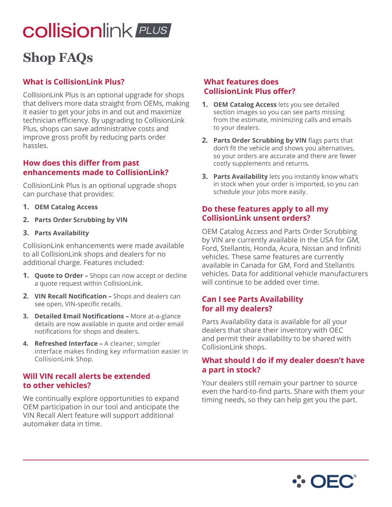# **collisionlink** PLUS

# **Shop FAQs**

# **What is CollisionLink Plus?**

CollisionLink Plus is an optional upgrade for shops that delivers more data straight from OEMs, making it easier to get your jobs in and out and maximize technician efficiency. By upgrading to CollisionLink Plus, shops can save administrative costs and improve gross profit by reducing parts order hassles.

#### **How does this differ from past enhancements made to CollisionLink?**

CollisionLink Plus is an optional upgrade shops can purchase that provides:

- **1. OEM Catalog Access**
- **2. Parts Order Scrubbing by VIN**
- **3. Parts Availability**

CollisionLink enhancements were made available to all CollisionLink shops and dealers for no additional charge. Features included:

- **1. Quote to Order** Shops can now accept or decline a quote request within CollisionLink.
- **2. VIN Recall Notification** Shops and dealers can see open, VIN-specific recalls.
- **3. Detailed Email Notifications** More at-a-glance details are now available in quote and order email notifications for shops and dealers.
- **4. Refreshed Interface** A cleaner, simpler interface makes finding key information easier in CollisionLink Shop.

### **Will VIN recall alerts be extended to other vehicles?**

We continually explore opportunities to expand OEM participation in our tool and anticipate the VIN Recall Alert feature will support additional automaker data in time.

#### **What features does CollisionLink Plus offer?**

- **1. OEM Catalog Access** lets you see detailed section images so you can see parts missing from the estimate, minimizing calls and emails to your dealers.
- **2. Parts Order Scrubbing by VIN** flags parts that don't fit the vehicle and shows you alternatives, so your orders are accurate and there are fewer costly supplements and returns.
- **3. Parts Availability** lets you instantly know what's in stock when your order is imported, so you can schedule your jobs more easily.

### **Do these features apply to all my CollisionLink unsent orders?**

OEM Catalog Access and Parts Order Scrubbing by VIN are currently available in the USA for GM, Ford, Stellantis, Honda, Acura, Nissan and Infiniti vehicles. These same features are currently available in Canada for GM, Ford and Stellantis vehicles. Data for additional vehicle manufacturers will continue to be added over time.

# **Can I see Parts Availability for all my dealers?**

Parts Availability data is available for all your dealers that share their inventory with OEC and permit their availability to be shared with CollisionLink shops.

### **What should I do if my dealer doesn't have a part in stock?**

Your dealers still remain your partner to source even the hard-to-find parts. Share with them your timing needs, so they can help get you the part.